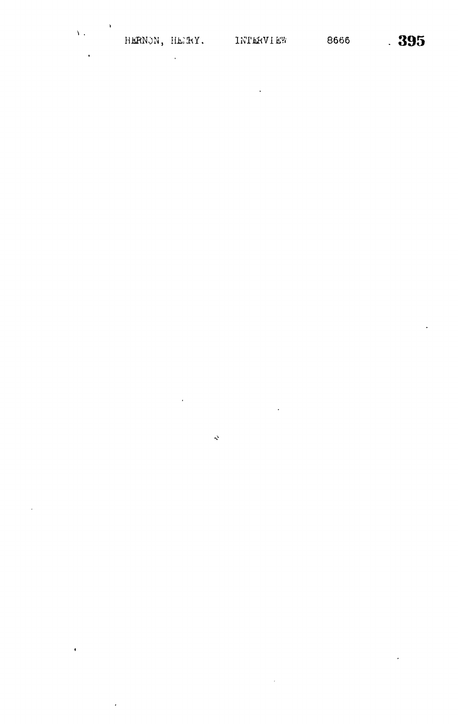$\hat{\textbf{r}}$ 

 $\bar{\mathcal{A}}$ 

 $\bar{\mathcal{A}}$ 

 $\cdot$ 

 $\hat{\mathbf{v}}$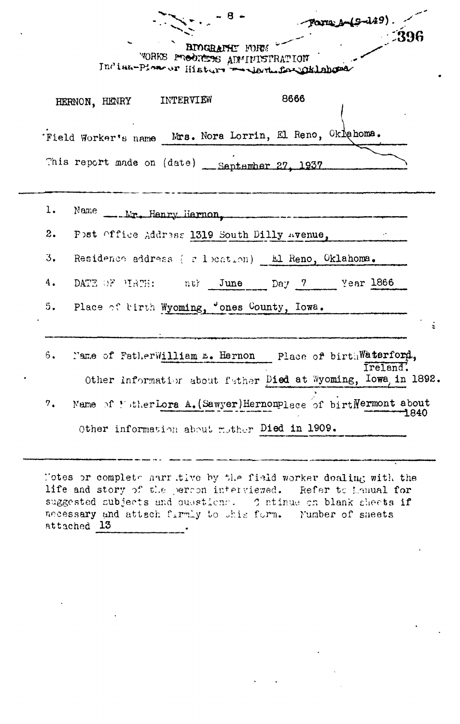|                | Form A (9-149).<br>-396<br>BIOGRAFHE FORM<br>WORKS PROCHER ARMITISTRATION<br>Indian-Pione or History monieval for Oklahom |
|----------------|---------------------------------------------------------------------------------------------------------------------------|
|                | 8666<br>HERNON, HENRY INTERVIEW                                                                                           |
|                | 'Field Worker's name Mrs. Nora Lorrin, El Reno, Oklahoma.                                                                 |
|                | This report made on (date) September 27, 1937                                                                             |
| $\mathbf{1}$ . | Name ___ Mr. Henry Hermon,                                                                                                |
| 2.             | Post office Address 1319 South Dilly Avenue,                                                                              |
| 3.             | Residence address ( r location) El Reno, Oklahoma.                                                                        |
| 4.             | DATE OF HATH: ntr June Day 7 Year 1866                                                                                    |
| 5.             | Place of birth Wyoming, "ones County, Iowa.                                                                               |
|                |                                                                                                                           |
| 6.             | Maximus of FatherWilliam E. Hernon Place of birth Waterford,<br>Ireland.                                                  |
|                | Other information about father Died at Wyoming, Iowa, in 1892.                                                            |
| 7.             | Name of <i>Y</i> therlora A. (Sawyer)Hernonplace of birt Nermont about<br>1840                                            |
|                | Other information about mother Died in 1909.                                                                              |

Totes or complete narr .tive by the field worker dealing with the life and story of the person interviewed. Refer to Lanual for suggested cubjects and questicnr. 0 rtinue on blank cheets if necessary and attach firmly to this form. Number of sheets attached 13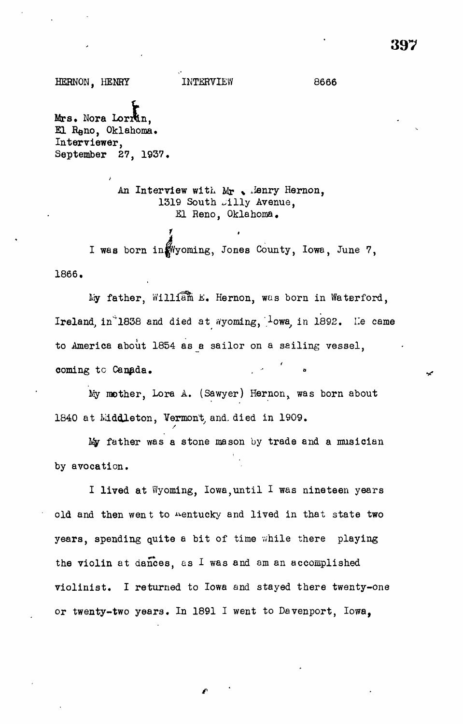HERNON, HENRY INTERVIEW 8666 Mrs. Nora Lormin. El Reno, Oklahoma. Interviewer, September 27, 1937. An Interview with Mr , Menry Hernon, 1319 South *Lilly* Avenue, El Reno, Oklahoma.

I was born in Wyoming, Jones County, Iowa, June 7, 1866.

My father, William E. Hernon, was born in Waterford, Ireland, in<sup>t</sup>1838 and died at Wyoming, <sup>l</sup>owa, in 1892. He came to America about 1854 as a sailor on a sailing vessel, coming to Canada.

My mother, Lora A. (Sawyer) Hernon, was born about 1840 at Middleton, Vermont, and. died in 1909.

My father was a stone mason by trade and a musician by avocation.

I lived at Wyoming, Iowa,until I was nineteen years old and then went to Aentucky and lived in that state two years, spending quite a bit of time while there playing the violin at dances, as I was and am an accomplished violinist. I returned to Iowa and stayed there twenty-one or twenty-two years. In 1891 I went to Davenport, Iowa,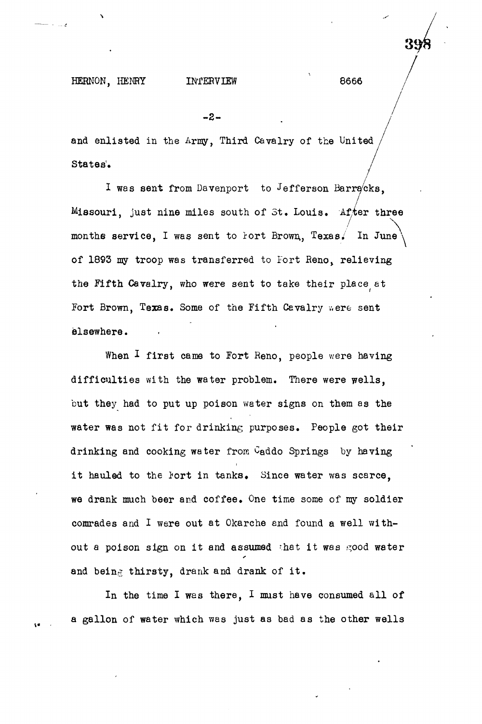HERNON, HENRY INTERVIEW 8666

 $-2-$ 

and enlisted in the Army, Third Cavalry of the United States'.

I was sent from Davenport to Jefferson Barrgcks, Missouri, just nine miles south of  $St.$  Louis. After three months service, I was sent to lort Brown, Texas. In June of 1893 my troop was transferred to Fort Reno, relieving the Fifth Cavalry, who were sent to take their place et Fort Brown, Texas. Some of the Fifth Cavalry were sent elsewhere.

When I first came to Fort Reno, people were having difficulties with the water problem. There were wells, but they had to put up poison water signs on them as the water was not fit for drinking purposes. People got their drinking and cooking water from Caddo Springs by having it hauled to the iort in tanks. Since water was scarce, we drank much beer and coffee. One time some of my soldier comrades and I were out at Okarche end found a well without a poison sign on it and assumed that it was good water and being thirsty, drank and drank of it.

In the time I was there, I must have consumed all of a gallon of water which was just as bad as the other wells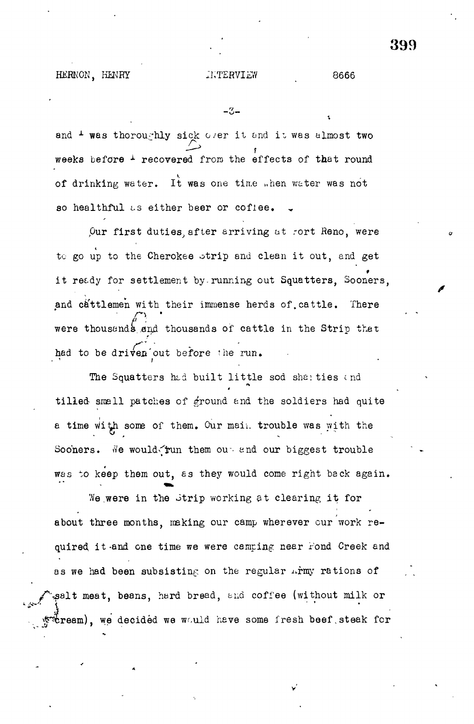## HERNON, HENRY **INTERVIEW** 8666

 $-3-$ 

and  $\frac{1}{2}$  was thoroughly sick over it and it was almost two  $\overline{\phantom{a}}$  f weeks before  $\frac{1}{2}$  recovered from the effects of that round of drinking water. It was one time when water was not so healthful as either beer or coflee.

Our first duties, after arriving at rort Reno, were to go up to the Cherokee otrip and clean it out, and get it retdy for settlement by-running out Squatters, Sooners, and cattlemen with their immense herds of cattle. There were thousands and thousands of cattle in the Strip that *r* had to be driven out before the run.

The Squatters had built little sod shaities and TV *4* tilled small patches of ground and the soldiers had quite a time With some of them. Our mail, trouble was with the Sooners. We would frun them out and our biggest trouble was to keep them out, as they would come right back again.

We were in the Strip working at clearing it for about three months, making our camp wherever our work required it and one time we were camping near rond Creek and as we had been subsisting on the regular  $\Lambda$ rmy rations of meat, beans, hard bread, tud coffee (without milk or **.** Stream), we decided we would have some fresh beef steak for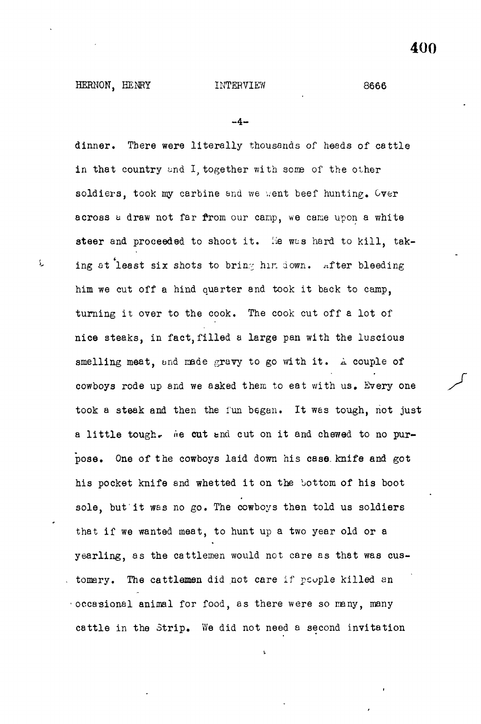رک

### $-4-$

dinner. There were literally thousands of heads of cattle in that country and I, together with some of the other soldiers, took my carbine and we went beef hunting. Over across a draw not far from our camp, we came upon a white steer and proceeded to shoot it. He was hard to kill, taking at least six shots to bring him down. After bleeding him we cut off a hind quarter and took it back to camp, turning it over to the cook. The cook cut off a lot of nice steaks, in fact,filled a large pan with the luscious smelling meat, and made gravy to go with it. A couple of cowboys rode up and we asked them to eat with us. Every one took a steak and then the fun began. It was tough, not just a little tough. We cut and cut on it and chewed to no purpose. One of the cowboys laid down his case, knife and got his pocket knife and whetted it on the bottom of his boot sole, but it was no go. The cowboys then told us soldiers that if we wanted meat, to hunt up a two year old or a yearling, as the cattlemen would not care as that was customary. The cattlemen did not care if people killed an •occasional animal for food, as there were so many, many cattle in the Strip. We did not need a second invitation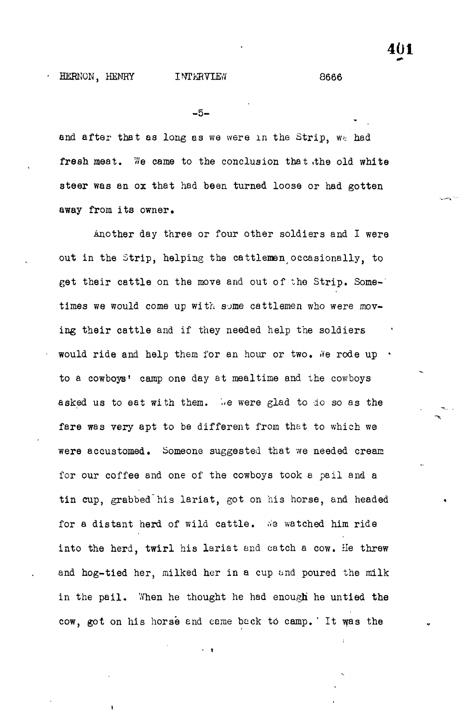and after that as long as we were in the Strip, we had fresh meat. We came to the conclusion that .the old white steer was an ox that had been turned loose or had gotten away from its owner.

Another day three or four other soldiers and I were out in the Strip, helping the cattlemen,occasionally, to get their cattle on the move and out of the Strip. Sometimes we would come up with some cattlemen who were moving their cattle and if they needed help the soldiers would ride and help them for an hour or two. We rode up  $\cdot$ to a cowboys' camp one day at mealtime and the cowboys asked us to eat with them. We were glad to do so as the fare was very apt to be different from that to which we were accustomed. Someone suggested that we needed cream for our coffee and one of the cowboys took a pail and a tin cup, grabbed"his lariat, got on his horse, and headed for a distant herd of wild cattle. We watched him ride into the herd, twirl his lariat and catch a cow. He threw and hog-tied her, milked her in a cup and poured the milk in the pail. When he thought he had enough he untied the cow, got on his horse and came back to camp. It was the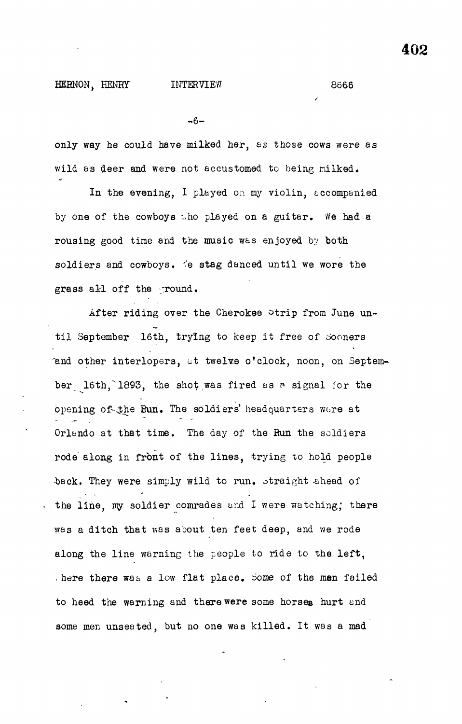$-6-$ 

only way he could have milked her, as those cows were as wild as deer and were not accustomed to being milked.

In the evening, I played on my violin, accompanied by one of the cowboys ..ho played on a guitar. We had a rousing good time and the music was enjoyed by both soldiers and cowboys. "e stag danced until we wore the grass all off the ground.

After riding over the Cherokee Strip from June until September 16th, trying to keep it free of Sooners end other interlopers, at twelve o'clock, noon, on September 16th, 1893, the shot was fired as a signal for the opening of the Bun. The soldiers' headquarters were at Orlando at that time. The day of the Run the soldiers rode along in front of the lines, trying to hold people back. They were simply wild to run. otraight ahead of the line, my soldier comrades and I were watching; there was a ditch that was about ten feet deep, and we rode along the line warning the people to ride to the left, . here there was a low flat place. Some of the men failed to heed the warning and there were some horses hurt and some men unseated, but no one was killed. It was a mad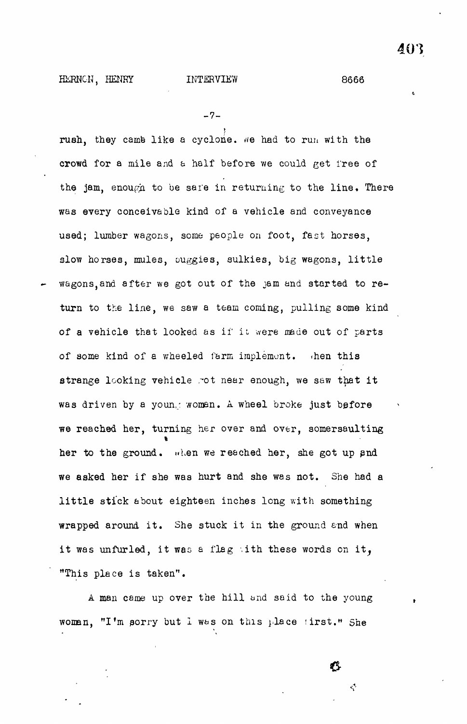woman,

 $-7-$ 

» rush, they came like a cyclone. We had to run with the crowd for a mile and a half before we could get free of the jam, enough to be sare in returning to the line. There was every conceivable kind of a vehicle and conveyance used; lumber wagons, some people on foot, fast horses, slow horses, mules, ouggies, sulkies, big wagons, little wagons, and after we got out of the jam and started to return to the line, we saw a team coming, pulling some kind of a vehicle that looked as if it were made out of parts of some kind of a wheeled farm implement. then this strange looking vehicle rot near enough, we saw that it was driven by a youn, woman. A wheel broke just before we reached her, turning her over and over, somersaulting her to the ground. When we reached her, she got up and we asked her if she was hurt and she was hurt and she was not. She had a she was not. She had a she had a she<br>She had a she had a she had a she had a she had a she had a she had a she had a she had a she had a she had a

fm 3orry but 1 was on this jump 1 was on this jump 1 was on this jump 1 was on this jump 1 was on this jump 1 was on the  $\lambda$ 

**e**

 $\mathcal{L}^{\mathcal{A}}$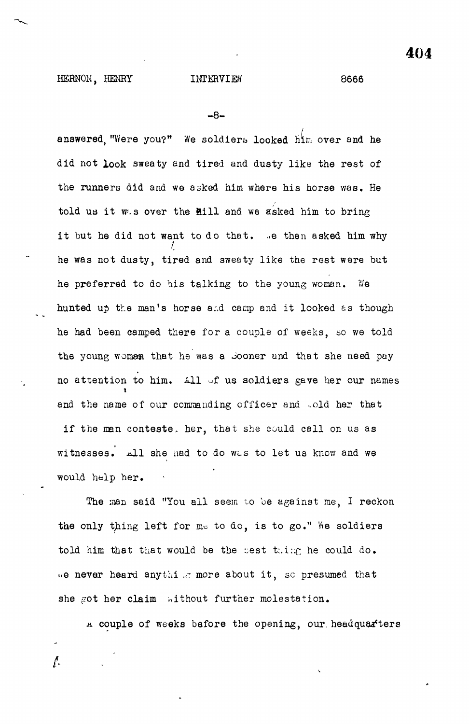answered, "Were you?" We soldiers looked him over and he did not look sweaty and tired and dusty like the rest of the runners did and we asked him where his horse was. He told us it w.s over the **Hill** and we asked him to bring it but he did not want to do that. ..e then asked him why he was not dusty, tired and sweaty like the rest were but he preferred to do his talking to the young woman. We hunted up the man's horse and camp and it looked as though he had been camped there for a couple of weeks, so we told the young woman that he was a sooner and that she need pay no attention to him. All of us soldiers gave her our names **i** and the name of our commanding officer and .old her that if the man conteste. her, that she could call on us as witnesses. All she had to do was to let us know and we would help her.

The man said "You all seem to be against me, I reckon the only thing left for me to do, is to go." We soldiers told him that that would be the sest thing he could do. **ne never heard anything more about it, so presumed that** she got her claim without further molestation.

A couple of weeks before the opening, our headquarters

ŀ.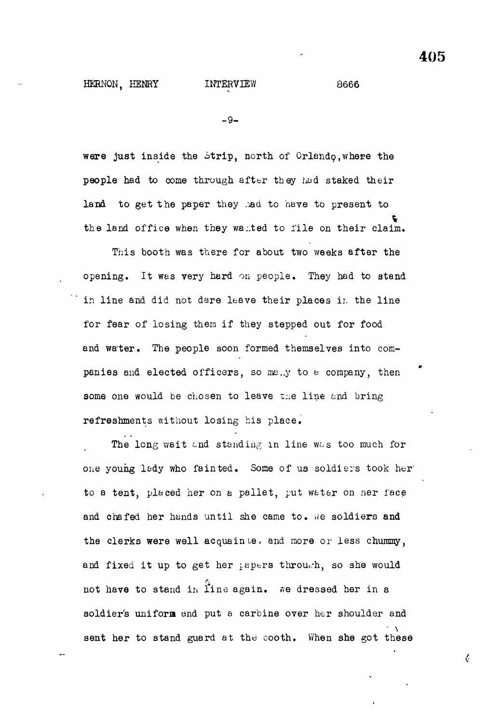-9-

were just inside the Strip, north of Orlando, where the people had to come through after they had staked their land to get the paper they mad to have to present to the land office when they wanted to file on their claim.

This booth was there for about two weeks after the opening. It was very hard on people. They had to stand in line and did not dare leave their places ir. the line for fear of losing them if they stepped out for food and water. The people soon formed themselves into companies and elected officers, so mally to a company, then some one would be chosen to leave the line and bring refreshments without losing his place.

The long wait and standing in line was too much for one young lady who fainted. Some of us soldiers took her to a tent, placed her on a pallet, put water on ner face and chafed her hands until she came to. We soldiers and the clerks were well acquainted and more or less chummy, and fixed it up to get her tapers through, so she would not have to stand in line again. We dressed her in a soldier's uniform and put a carbine over her shoulder and sent her to stand guard at the cooth. When she got these

ŀ.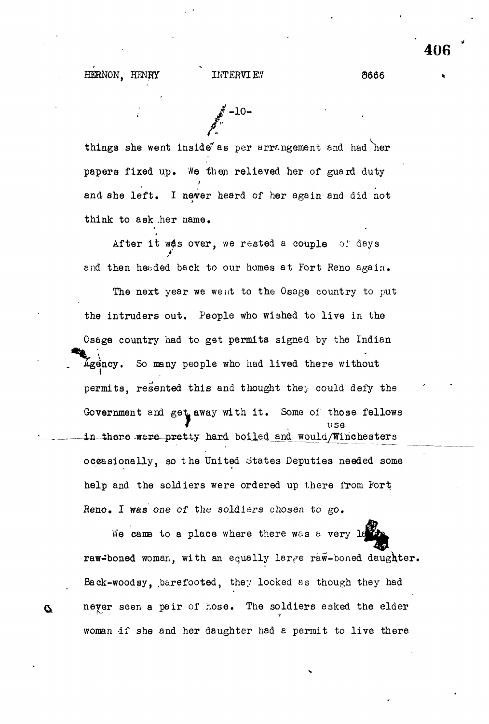$\sigma$ 

 $-10-$ 

things she went inside as per arrangement and had her papers fixed up. We then relieved her of guard duty and she left. I never heard of her again and did not think to ask ,her name.

After it was over, we rested a couple of days and then headed back to our homes at Fort Reno again.

The next year we went to the Osage country to put the intruders out. People who wished to live in the Csage country had to get permits signed by the Indian Age'ncy, So many people who had lived there without permits, resented this and thought they could defy the Government and get away with it. Some of those fellows **7** use<br>∪ is a strain in the strain in the strain in the strain in the strain in the strain in the strain in the strain in there were pretty hard boiled and would/Winchesters occasionally, so the United States Deputies needed some help and the soldiers were ordered up there from Fort Reno, I was one of the soldiers chosen to go.

We came to a place where there was a very le raw-boned woman, with an equally large raw-boned daughter. Back-woodsy, .barefooted, they looked as though they had never seen a pair of hose. The soldiers asked the elder woman if she and her daughter had a permit to live there

**406**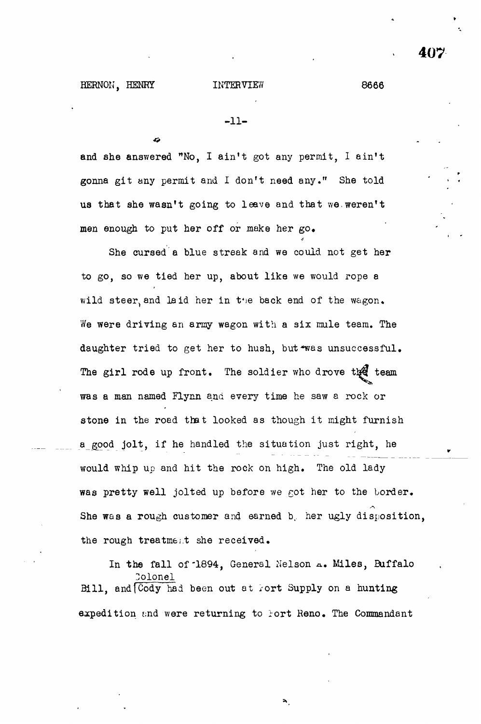### -11-

and she answered "No, I ain't got any permit, I ain't

gonna git any permit and I don't need any." She told us that she wasn't going to leave and that we,weren't men enough to put her off or make her go.

She cursed a blue streak and we could not get her to go, so we tied her up, about like we would rope a wild steer, and laid her in the back end of the wagon. We were driving an army wagon with a six mule team. The daughter tried to get her to hush, but was unsuccessful. The girl rode up front. The soldier who drove the team was a man named Flynn and every time he saw a rock or stone in the roed that looked as though it might furnish a good jolt, if he handled the situation just right, he would whip up and hit the rock on high. The old lady was pretty well jolted up before we got her to the border. She was a rough customer and earned b, her ugly disposition, the rough treatment she received.

In the fall of 1894, General Nelson A. Miles, Buffalo Colonel Bill, and[Cody had been out at >ort Supply on a hunting expedition and were returning to Fort Reno. The Commandant

**407**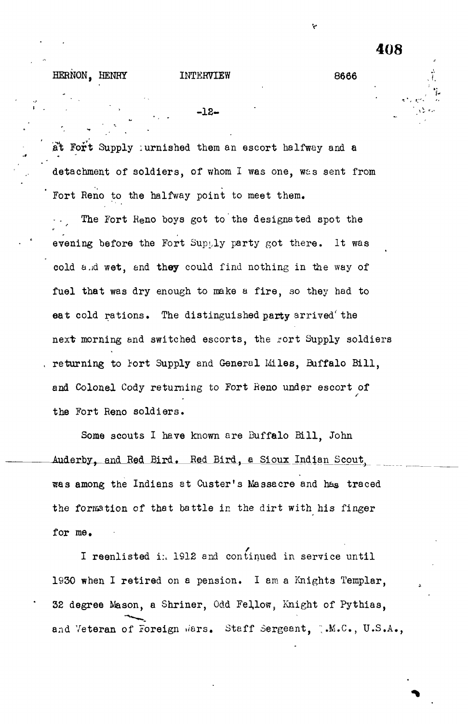# HERNON, HENRY INTERVIEW 8666

**408**

V

-12-

at Fort Supply : urnished them an escort halfway and a detachment of soldiers, of whom I was one, was sent from Fort Reno to the halfway point to meet them.

The Fort Reno boys got to the designated spot the evening before the Fort Supply party got there. It was cold a.id wet, and they could find nothing in the way of fuel that was dry enough to make a fire, so they had to eat cold rations. The distinguished party arrived'the next morning and switched escorts, the rort Supply soldiers returning to Fort Supply and General Miles, Buffalo Bill, and Colonel Cody returning to Fort Reno under escort of the Fort Reno soldiers.

Some scouts I have known are Buffalo Bill, John Auderby, and Red Bird. Red Bird, a Sioux Indian Scout, was among the Indians at Custer's Massacre and has traced the formation of that battle in the dirt with his finger for me.

I reenlisted i:, 1912 and continued in service until 1930 when I retired on a pension. I am a Knights Templar, 32 degree Mason, a Shriner, Odd Fellow, Knight of Pythias, and Veteran of Foreign wars. Staff Sergeant, [.M.C., U.S.A.,